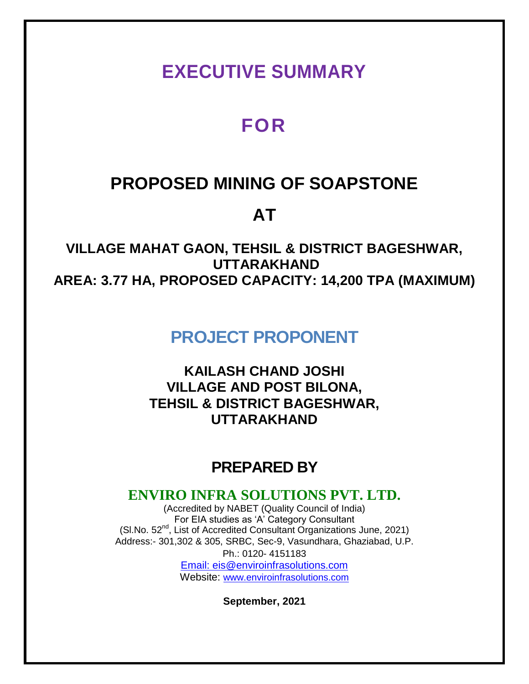## **EXECUTIVE SUMMARY**

# **FOR**

## **PROPOSED MINING OF SOAPSTONE**

# **AT**

**VILLAGE MAHAT GAON, TEHSIL & DISTRICT BAGESHWAR, UTTARAKHAND AREA: 3.77 HA, PROPOSED CAPACITY: 14,200 TPA (MAXIMUM)**

## **PROJECT PROPONENT**

**KAILASH CHAND JOSHI VILLAGE AND POST BILONA, TEHSIL & DISTRICT BAGESHWAR, UTTARAKHAND**

## **PREPARED BY**

## **ENVIRO INFRA SOLUTIONS PVT. LTD.**

(Accredited by NABET (Quality Council of India) For EIA studies as 'A' Category Consultant (SI.No. 52<sup>nd</sup>, List of Accredited Consultant Organizations June, 2021) Address:- 301,302 & 305, SRBC, Sec-9, Vasundhara, Ghaziabad, U.P. Ph.: 0120- 4151183 Email: eis@enviroinfrasolutions.com Website: [www.enviroinfrasolutions.com](http://www.enviroinfrasolutions.com/)

**September, 2021**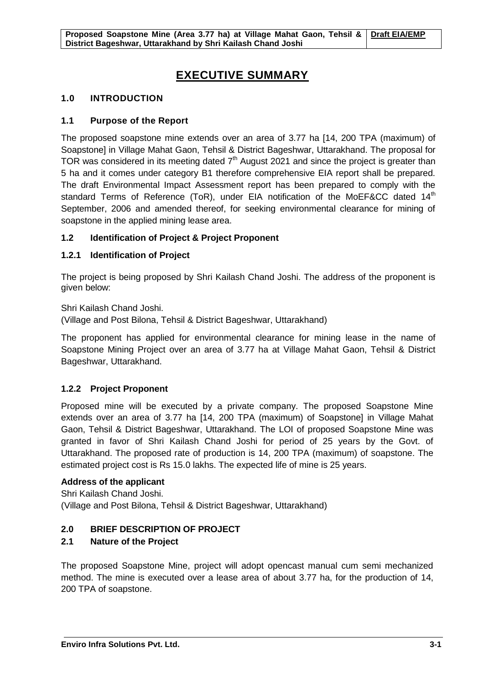## **EXECUTIVE SUMMARY**

## **1.0 INTRODUCTION**

## **1.1 Purpose of the Report**

The proposed soapstone mine extends over an area of 3.77 ha [14, 200 TPA (maximum) of Soapstone] in Village Mahat Gaon, Tehsil & District Bageshwar, Uttarakhand. The proposal for TOR was considered in its meeting dated  $7<sup>th</sup>$  August 2021 and since the project is greater than 5 ha and it comes under category B1 therefore comprehensive EIA report shall be prepared. The draft Environmental Impact Assessment report has been prepared to comply with the standard Terms of Reference (ToR), under EIA notification of the MoEF&CC dated  $14<sup>th</sup>$ September, 2006 and amended thereof, for seeking environmental clearance for mining of soapstone in the applied mining lease area.

## **1.2 Identification of Project & Project Proponent**

## **1.2.1 Identification of Project**

The project is being proposed by Shri Kailash Chand Joshi. The address of the proponent is given below:

### Shri Kailash Chand Joshi.

(Village and Post Bilona, Tehsil & District Bageshwar, Uttarakhand)

The proponent has applied for environmental clearance for mining lease in the name of Soapstone Mining Project over an area of 3.77 ha at Village Mahat Gaon, Tehsil & District Bageshwar, Uttarakhand.

## **1.2.2 Project Proponent**

Proposed mine will be executed by a private company. The proposed Soapstone Mine extends over an area of 3.77 ha [14, 200 TPA (maximum) of Soapstone] in Village Mahat Gaon, Tehsil & District Bageshwar, Uttarakhand. The LOI of proposed Soapstone Mine was granted in favor of Shri Kailash Chand Joshi for period of 25 years by the Govt. of Uttarakhand. The proposed rate of production is 14, 200 TPA (maximum) of soapstone. The estimated project cost is Rs 15.0 lakhs. The expected life of mine is 25 years.

### **Address of the applicant**

Shri Kailash Chand Joshi. (Village and Post Bilona, Tehsil & District Bageshwar, Uttarakhand)

## **2.0 BRIEF DESCRIPTION OF PROJECT**

## **2.1 Nature of the Project**

The proposed Soapstone Mine, project will adopt opencast manual cum semi mechanized method. The mine is executed over a lease area of about 3.77 ha, for the production of 14, 200 TPA of soapstone.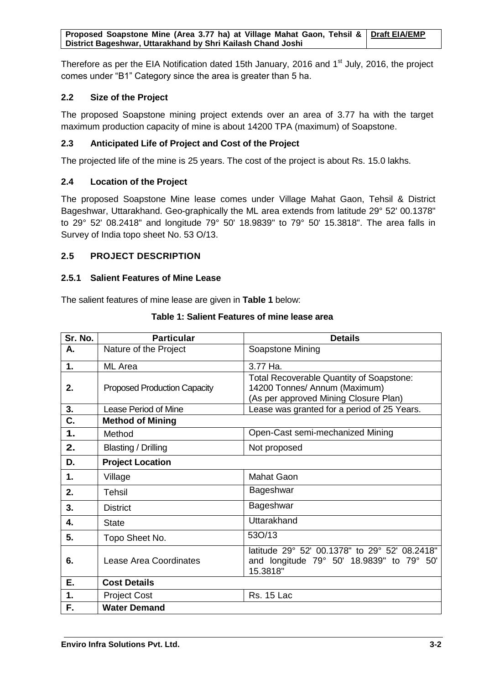Therefore as per the EIA Notification dated 15th January, 2016 and  $1<sup>st</sup>$  July, 2016, the project comes under "B1" Category since the area is greater than 5 ha.

## **2.2 Size of the Project**

The proposed Soapstone mining project extends over an area of 3.77 ha with the target maximum production capacity of mine is about 14200 TPA (maximum) of Soapstone.

## **2.3 Anticipated Life of Project and Cost of the Project**

The projected life of the mine is 25 years. The cost of the project is about Rs. 15.0 lakhs.

## **2.4 Location of the Project**

The proposed Soapstone Mine lease comes under Village Mahat Gaon, Tehsil & District Bageshwar, Uttarakhand. Geo-graphically the ML area extends from latitude 29° 52' 00.1378" to 29° 52' 08.2418" and longitude 79° 50' 18.9839" to 79° 50' 15.3818". The area falls in Survey of India topo sheet No. 53 O/13.

## **2.5 PROJECT DESCRIPTION**

## **2.5.1 Salient Features of Mine Lease**

The salient features of mine lease are given in **Table 1** below:

| Sr. No. | <b>Particular</b>                   | <b>Details</b>                                                                                                            |
|---------|-------------------------------------|---------------------------------------------------------------------------------------------------------------------------|
| А.      | Nature of the Project               | Soapstone Mining                                                                                                          |
| 1.      | ML Area                             | 3.77 Ha.                                                                                                                  |
| 2.      | <b>Proposed Production Capacity</b> | <b>Total Recoverable Quantity of Soapstone:</b><br>14200 Tonnes/ Annum (Maximum)<br>(As per approved Mining Closure Plan) |
| 3.      | Lease Period of Mine                | Lease was granted for a period of 25 Years.                                                                               |
| C.      | <b>Method of Mining</b>             |                                                                                                                           |
| 1.      | Method                              | Open-Cast semi-mechanized Mining                                                                                          |
| 2.      | Blasting / Drilling                 | Not proposed                                                                                                              |
| D.      | <b>Project Location</b>             |                                                                                                                           |
| 1.      | Village                             | Mahat Gaon                                                                                                                |
| 2.      | <b>Tehsil</b>                       | Bageshwar                                                                                                                 |
| 3.      | <b>District</b>                     | Bageshwar                                                                                                                 |
| 4.      | <b>State</b>                        | Uttarakhand                                                                                                               |
| 5.      | Topo Sheet No.                      | 530/13                                                                                                                    |
| 6.      | Lease Area Coordinates              | latitude 29° 52' 00.1378" to 29° 52' 08.2418"<br>and longitude 79° 50' 18.9839" to 79° 50'<br>15.3818"                    |
| Ε.      | <b>Cost Details</b>                 |                                                                                                                           |
| 1.      | <b>Project Cost</b>                 | <b>Rs. 15 Lac</b>                                                                                                         |
| F.      | <b>Water Demand</b>                 |                                                                                                                           |

### **Table 1: Salient Features of mine lease area**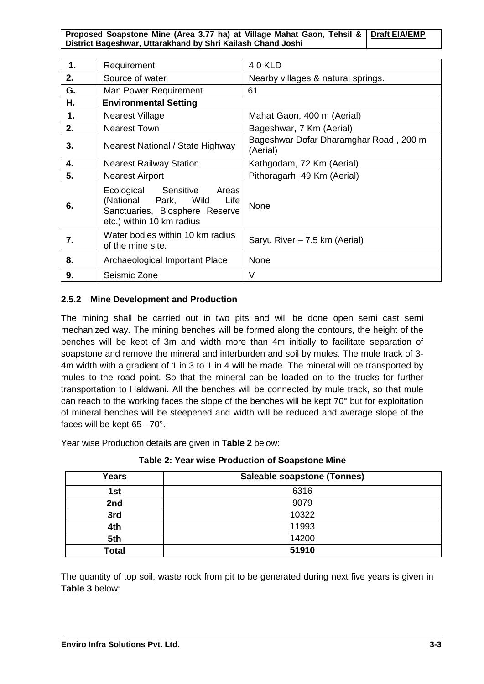| 1. | Requirement                                                                                                                     | <b>4.0 KLD</b>                                     |
|----|---------------------------------------------------------------------------------------------------------------------------------|----------------------------------------------------|
| 2. | Source of water                                                                                                                 | Nearby villages & natural springs.                 |
| G. | Man Power Requirement                                                                                                           | 61                                                 |
| Η. | <b>Environmental Setting</b>                                                                                                    |                                                    |
| 1. | Nearest Village                                                                                                                 | Mahat Gaon, 400 m (Aerial)                         |
| 2. | <b>Nearest Town</b>                                                                                                             | Bageshwar, 7 Km (Aerial)                           |
| 3. | Nearest National / State Highway                                                                                                | Bageshwar Dofar Dharamghar Road, 200 m<br>(Aerial) |
| 4. | <b>Nearest Railway Station</b>                                                                                                  | Kathgodam, 72 Km (Aerial)                          |
| 5. | <b>Nearest Airport</b>                                                                                                          | Pithoragarh, 49 Km (Aerial)                        |
| 6. | Ecological<br>Sensitive<br>Areas<br>(National Park, Wild<br>Life<br>Sanctuaries, Biosphere Reserve<br>etc.) within 10 km radius | None                                               |
| 7. | Water bodies within 10 km radius<br>of the mine site.                                                                           | Saryu River - 7.5 km (Aerial)                      |
| 8. | Archaeological Important Place                                                                                                  | None                                               |
| 9. | Seismic Zone                                                                                                                    | V                                                  |

## **2.5.2 Mine Development and Production**

The mining shall be carried out in two pits and will be done open semi cast semi mechanized way. The mining benches will be formed along the contours, the height of the benches will be kept of 3m and width more than 4m initially to facilitate separation of soapstone and remove the mineral and interburden and soil by mules. The mule track of 3- 4m width with a gradient of 1 in 3 to 1 in 4 will be made. The mineral will be transported by mules to the road point. So that the mineral can be loaded on to the trucks for further transportation to Haldwani. All the benches will be connected by mule track, so that mule can reach to the working faces the slope of the benches will be kept 70° but for exploitation of mineral benches will be steepened and width will be reduced and average slope of the faces will be kept 65 - 70°.

Year wise Production details are given in **Table 2** below:

| <b>Years</b> | <b>Saleable soapstone (Tonnes)</b> |
|--------------|------------------------------------|
| 1st          | 6316                               |
| 2nd          | 9079                               |
| 3rd          | 10322                              |
| 4th          | 11993                              |
| 5th          | 14200                              |
| <b>Total</b> | 51910                              |

**Table 2: Year wise Production of Soapstone Mine**

The quantity of top soil, waste rock from pit to be generated during next five years is given in **Table 3** below: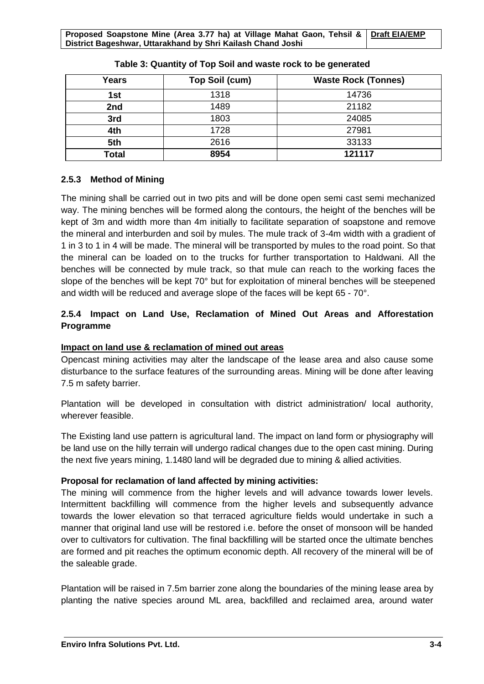| Years | Top Soil (cum) | <b>Waste Rock (Tonnes)</b> |
|-------|----------------|----------------------------|
| 1st   | 1318           | 14736                      |
| 2nd   | 1489           | 21182                      |
| 3rd   | 1803           | 24085                      |
| 4th   | 1728           | 27981                      |
| 5th   | 2616           | 33133                      |
| Total | 8954           | 121117                     |

### **Table 3: Quantity of Top Soil and waste rock to be generated**

## **2.5.3 Method of Mining**

The mining shall be carried out in two pits and will be done open semi cast semi mechanized way. The mining benches will be formed along the contours, the height of the benches will be kept of 3m and width more than 4m initially to facilitate separation of soapstone and remove the mineral and interburden and soil by mules. The mule track of 3-4m width with a gradient of 1 in 3 to 1 in 4 will be made. The mineral will be transported by mules to the road point. So that the mineral can be loaded on to the trucks for further transportation to Haldwani. All the benches will be connected by mule track, so that mule can reach to the working faces the slope of the benches will be kept 70° but for exploitation of mineral benches will be steepened and width will be reduced and average slope of the faces will be kept 65 - 70°.

## **2.5.4 Impact on Land Use, Reclamation of Mined Out Areas and Afforestation Programme**

## **Impact on land use & reclamation of mined out areas**

Opencast mining activities may alter the landscape of the lease area and also cause some disturbance to the surface features of the surrounding areas. Mining will be done after leaving 7.5 m safety barrier.

Plantation will be developed in consultation with district administration/ local authority, wherever feasible.

The Existing land use pattern is agricultural land. The impact on land form or physiography will be land use on the hilly terrain will undergo radical changes due to the open cast mining. During the next five years mining, 1.1480 land will be degraded due to mining & allied activities.

### **Proposal for reclamation of land affected by mining activities:**

The mining will commence from the higher levels and will advance towards lower levels. Intermittent backfilling will commence from the higher levels and subsequently advance towards the lower elevation so that terraced agriculture fields would undertake in such a manner that original land use will be restored i.e. before the onset of monsoon will be handed over to cultivators for cultivation. The final backfilling will be started once the ultimate benches are formed and pit reaches the optimum economic depth. All recovery of the mineral will be of the saleable grade.

Plantation will be raised in 7.5m barrier zone along the boundaries of the mining lease area by planting the native species around ML area, backfilled and reclaimed area, around water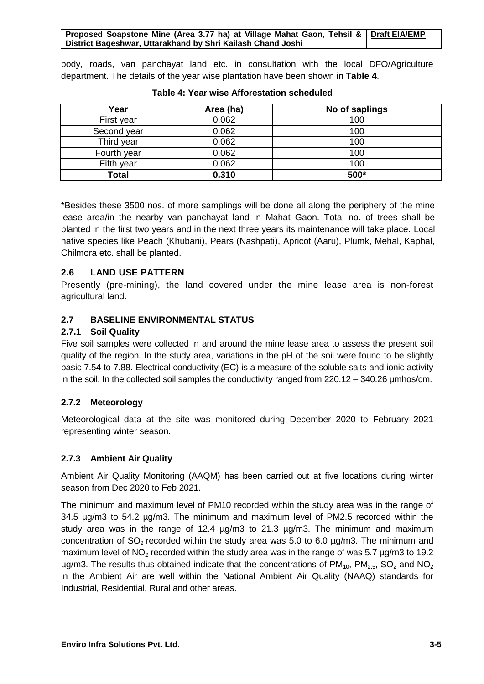body, roads, van panchayat land etc. in consultation with the local DFO/Agriculture department. The details of the year wise plantation have been shown in **Table 4**.

| Year        | Area (ha) | No of saplings |
|-------------|-----------|----------------|
| First year  | 0.062     | 100            |
| Second year | 0.062     | 100            |
| Third year  | 0.062     | 100            |
| Fourth year | 0.062     | 100            |
| Fifth year  | 0.062     | 100            |
| Total       | 0.310     | 500*           |

**Table 4: Year wise Afforestation scheduled**

\*Besides these 3500 nos. of more samplings will be done all along the periphery of the mine lease area/in the nearby van panchayat land in Mahat Gaon. Total no. of trees shall be planted in the first two years and in the next three years its maintenance will take place. Local native species like Peach (Khubani), Pears (Nashpati), Apricot (Aaru), Plumk, Mehal, Kaphal, Chilmora etc. shall be planted.

## **2.6 LAND USE PATTERN**

Presently (pre-mining), the land covered under the mine lease area is non-forest agricultural land.

## **2.7 BASELINE ENVIRONMENTAL STATUS**

## **2.7.1 Soil Quality**

Five soil samples were collected in and around the mine lease area to assess the present soil quality of the region. In the study area, variations in the pH of the soil were found to be slightly basic 7.54 to 7.88. Electrical conductivity (EC) is a measure of the soluble salts and ionic activity in the soil. In the collected soil samples the conductivity ranged from 220.12 – 340.26 µmhos/cm.

## **2.7.2 Meteorology**

Meteorological data at the site was monitored during December 2020 to February 2021 representing winter season.

## **2.7.3 Ambient Air Quality**

Ambient Air Quality Monitoring (AAQM) has been carried out at five locations during winter season from Dec 2020 to Feb 2021.

The minimum and maximum level of PM10 recorded within the study area was in the range of 34.5 µg/m3 to 54.2 µg/m3. The minimum and maximum level of PM2.5 recorded within the study area was in the range of 12.4 µg/m3 to 21.3 µg/m3. The minimum and maximum concentration of  $SO_2$  recorded within the study area was 5.0 to 6.0  $\mu$ g/m3. The minimum and maximum level of NO<sub>2</sub> recorded within the study area was in the range of was 5.7  $\mu$ g/m3 to 19.2  $\mu$ g/m3. The results thus obtained indicate that the concentrations of PM<sub>10</sub>, PM<sub>2.5</sub>, SO<sub>2</sub> and NO<sub>2</sub> in the Ambient Air are well within the National Ambient Air Quality (NAAQ) standards for Industrial, Residential, Rural and other areas.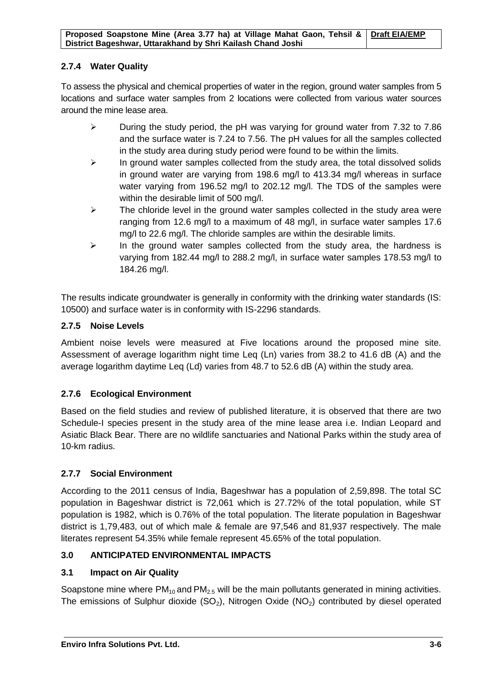## **2.7.4 Water Quality**

To assess the physical and chemical properties of water in the region, ground water samples from 5 locations and surface water samples from 2 locations were collected from various water sources around the mine lease area.

- During the study period, the pH was varying for ground water from 7.32 to 7.86 and the surface water is 7.24 to 7.56. The pH values for all the samples collected in the study area during study period were found to be within the limits.
- $\triangleright$  In ground water samples collected from the study area, the total dissolved solids in ground water are varying from 198.6 mg/l to 413.34 mg/l whereas in surface water varying from 196.52 mg/l to 202.12 mg/l. The TDS of the samples were within the desirable limit of 500 mg/l.
- $\triangleright$  The chloride level in the ground water samples collected in the study area were ranging from 12.6 mg/l to a maximum of 48 mg/l, in surface water samples 17.6 mg/l to 22.6 mg/l. The chloride samples are within the desirable limits.
- $\triangleright$  In the ground water samples collected from the study area, the hardness is varying from 182.44 mg/l to 288.2 mg/l, in surface water samples 178.53 mg/l to 184.26 mg/l.

The results indicate groundwater is generally in conformity with the drinking water standards (IS: 10500) and surface water is in conformity with IS-2296 standards.

## **2.7.5 Noise Levels**

Ambient noise levels were measured at Five locations around the proposed mine site. Assessment of average logarithm night time Leq (Ln) varies from 38.2 to 41.6 dB (A) and the average logarithm daytime Leq (Ld) varies from 48.7 to 52.6 dB (A) within the study area.

## **2.7.6 Ecological Environment**

Based on the field studies and review of published literature, it is observed that there are two Schedule-I species present in the study area of the mine lease area i.e. Indian Leopard and Asiatic Black Bear. There are no wildlife sanctuaries and National Parks within the study area of 10-km radius.

## **2.7.7 Social Environment**

According to the 2011 census of India, Bageshwar has a population of 2,59,898. The total SC population in Bageshwar district is 72,061 which is 27.72% of the total population, while ST population is 1982, which is 0.76% of the total population. The literate population in Bageshwar district is 1,79,483, out of which male & female are 97,546 and 81,937 respectively. The male literates represent 54.35% while female represent 45.65% of the total population.

## **3.0 ANTICIPATED ENVIRONMENTAL IMPACTS**

## **3.1 Impact on Air Quality**

Soapstone mine where  $PM_{10}$  and  $PM_{2.5}$  will be the main pollutants generated in mining activities. The emissions of Sulphur dioxide  $(SO_2)$ , Nitrogen Oxide  $(NO_2)$  contributed by diesel operated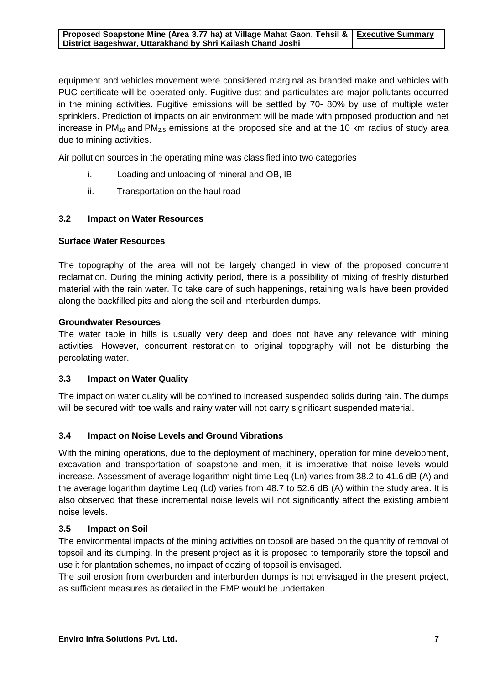equipment and vehicles movement were considered marginal as branded make and vehicles with PUC certificate will be operated only. Fugitive dust and particulates are major pollutants occurred in the mining activities. Fugitive emissions will be settled by 70- 80% by use of multiple water sprinklers. Prediction of impacts on air environment will be made with proposed production and net increase in  $PM_{10}$  and  $PM_{2.5}$  emissions at the proposed site and at the 10 km radius of study area due to mining activities.

Air pollution sources in the operating mine was classified into two categories

- i. Loading and unloading of mineral and OB, IB
- ii. Transportation on the haul road

### **3.2 Impact on Water Resources**

### **Surface Water Resources**

The topography of the area will not be largely changed in view of the proposed concurrent reclamation. During the mining activity period, there is a possibility of mixing of freshly disturbed material with the rain water. To take care of such happenings, retaining walls have been provided along the backfilled pits and along the soil and interburden dumps.

### **Groundwater Resources**

The water table in hills is usually very deep and does not have any relevance with mining activities. However, concurrent restoration to original topography will not be disturbing the percolating water.

### **3.3 Impact on Water Quality**

The impact on water quality will be confined to increased suspended solids during rain. The dumps will be secured with toe walls and rainy water will not carry significant suspended material.

### **3.4 Impact on Noise Levels and Ground Vibrations**

With the mining operations, due to the deployment of machinery, operation for mine development, excavation and transportation of soapstone and men, it is imperative that noise levels would increase. Assessment of average logarithm night time Leg (Ln) varies from 38.2 to 41.6 dB (A) and the average logarithm daytime Leq (Ld) varies from 48.7 to 52.6 dB (A) within the study area. It is also observed that these incremental noise levels will not significantly affect the existing ambient noise levels.

### **3.5 Impact on Soil**

The environmental impacts of the mining activities on topsoil are based on the quantity of removal of topsoil and its dumping. In the present project as it is proposed to temporarily store the topsoil and use it for plantation schemes, no impact of dozing of topsoil is envisaged.

The soil erosion from overburden and interburden dumps is not envisaged in the present project, as sufficient measures as detailed in the EMP would be undertaken.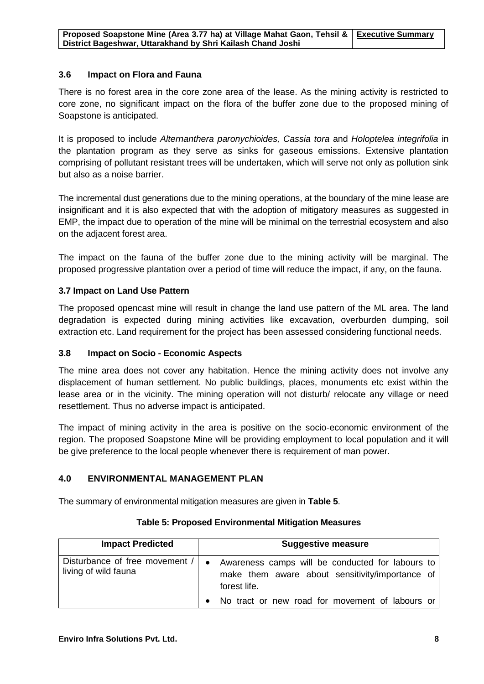## **3.6 Impact on Flora and Fauna**

There is no forest area in the core zone area of the lease. As the mining activity is restricted to core zone, no significant impact on the flora of the buffer zone due to the proposed mining of Soapstone is anticipated.

It is proposed to include *Alternanthera paronychioides, Cassia tora* and *Holoptelea integrifolia* in the plantation program as they serve as sinks for gaseous emissions. Extensive plantation comprising of pollutant resistant trees will be undertaken, which will serve not only as pollution sink but also as a noise barrier.

The incremental dust generations due to the mining operations, at the boundary of the mine lease are insignificant and it is also expected that with the adoption of mitigatory measures as suggested in EMP, the impact due to operation of the mine will be minimal on the terrestrial ecosystem and also on the adjacent forest area.

The impact on the fauna of the buffer zone due to the mining activity will be marginal. The proposed progressive plantation over a period of time will reduce the impact, if any, on the fauna.

## **3.7 Impact on Land Use Pattern**

The proposed opencast mine will result in change the land use pattern of the ML area. The land degradation is expected during mining activities like excavation, overburden dumping, soil extraction etc. Land requirement for the project has been assessed considering functional needs.

### **3.8 Impact on Socio - Economic Aspects**

The mine area does not cover any habitation. Hence the mining activity does not involve any displacement of human settlement. No public buildings, places, monuments etc exist within the lease area or in the vicinity. The mining operation will not disturb/ relocate any village or need resettlement. Thus no adverse impact is anticipated.

The impact of mining activity in the area is positive on the socio-economic environment of the region. The proposed Soapstone Mine will be providing employment to local population and it will be give preference to the local people whenever there is requirement of man power.

## **4.0 ENVIRONMENTAL MANAGEMENT PLAN**

The summary of environmental mitigation measures are given in **Table 5**.

| <b>Impact Predicted</b>                                | <b>Suggestive measure</b>                                                                                                        |
|--------------------------------------------------------|----------------------------------------------------------------------------------------------------------------------------------|
| Disturbance of free movement /<br>living of wild fauna | Awareness camps will be conducted for labours to<br>$\bullet$<br>make them aware about sensitivity/importance of<br>forest life. |
|                                                        | No tract or new road for movement of labours or                                                                                  |

### **Table 5: Proposed Environmental Mitigation Measures**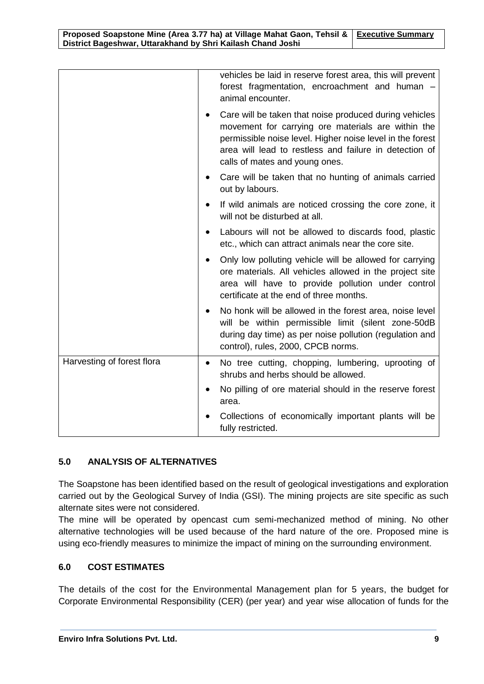|                            | vehicles be laid in reserve forest area, this will prevent<br>forest fragmentation, encroachment and human -<br>animal encounter.                                                                                                                                     |
|----------------------------|-----------------------------------------------------------------------------------------------------------------------------------------------------------------------------------------------------------------------------------------------------------------------|
|                            | Care will be taken that noise produced during vehicles<br>movement for carrying ore materials are within the<br>permissible noise level. Higher noise level in the forest<br>area will lead to restless and failure in detection of<br>calls of mates and young ones. |
|                            | Care will be taken that no hunting of animals carried<br>out by labours.                                                                                                                                                                                              |
|                            | If wild animals are noticed crossing the core zone, it<br>will not be disturbed at all.                                                                                                                                                                               |
|                            | Labours will not be allowed to discards food, plastic<br>etc., which can attract animals near the core site.                                                                                                                                                          |
|                            | Only low polluting vehicle will be allowed for carrying<br>ore materials. All vehicles allowed in the project site<br>area will have to provide pollution under control<br>certificate at the end of three months.                                                    |
|                            | No honk will be allowed in the forest area, noise level<br>will be within permissible limit (silent zone-50dB<br>during day time) as per noise pollution (regulation and<br>control), rules, 2000, CPCB norms.                                                        |
| Harvesting of forest flora | No tree cutting, chopping, lumbering, uprooting of<br>$\bullet$<br>shrubs and herbs should be allowed.                                                                                                                                                                |
|                            | No pilling of ore material should in the reserve forest<br>area.                                                                                                                                                                                                      |
|                            | Collections of economically important plants will be<br>fully restricted.                                                                                                                                                                                             |

## **5.0 ANALYSIS OF ALTERNATIVES**

The Soapstone has been identified based on the result of geological investigations and exploration carried out by the Geological Survey of India (GSI). The mining projects are site specific as such alternate sites were not considered.

The mine will be operated by opencast cum semi-mechanized method of mining. No other alternative technologies will be used because of the hard nature of the ore. Proposed mine is using eco-friendly measures to minimize the impact of mining on the surrounding environment.

## **6.0 COST ESTIMATES**

The details of the cost for the Environmental Management plan for 5 years, the budget for Corporate Environmental Responsibility (CER) (per year) and year wise allocation of funds for the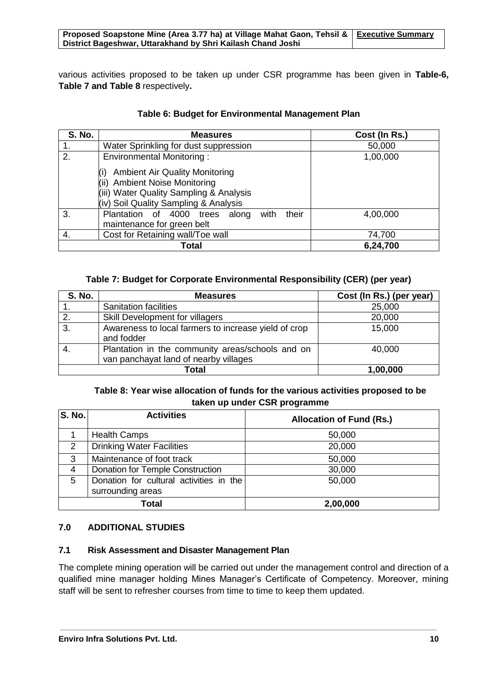#### **Proposed Soapstone Mine (Area 3.77 ha) at Village Mahat Gaon, Tehsil & Executive Summary District Bageshwar, Uttarakhand by Shri Kailash Chand Joshi**

various activities proposed to be taken up under CSR programme has been given in **Table-6, Table 7 and Table 8** respectively**.**

| <b>S. No.</b> | <b>Measures</b>                                                                                                                                                      | Cost (In Rs.) |
|---------------|----------------------------------------------------------------------------------------------------------------------------------------------------------------------|---------------|
|               | Water Sprinkling for dust suppression                                                                                                                                | 50,000        |
| 2.            | Environmental Monitoring:                                                                                                                                            | 1,00,000      |
|               | <b>Ambient Air Quality Monitoring</b><br><b>Ambient Noise Monitoring</b><br>(ii)<br>(iii) Water Quality Sampling & Analysis<br>(iv) Soil Quality Sampling & Analysis |               |
| 3.            | their<br>Plantation of 4000<br>with<br>trees<br>along<br>maintenance for green belt                                                                                  | 4,00,000      |
| 4.            | Cost for Retaining wall/Toe wall                                                                                                                                     | 74,700        |
| Total         |                                                                                                                                                                      | 6,24,700      |

## **Table 6: Budget for Environmental Management Plan**

### **Table 7: Budget for Corporate Environmental Responsibility (CER) (per year)**

| <b>S. No.</b> | <b>Measures</b>                                                                           | Cost (In Rs.) (per year) |  |
|---------------|-------------------------------------------------------------------------------------------|--------------------------|--|
|               | <b>Sanitation facilities</b>                                                              | 25,000                   |  |
| 2.            | Skill Development for villagers                                                           | 20,000                   |  |
| 3.            | Awareness to local farmers to increase yield of crop<br>and fodder                        | 15,000                   |  |
|               | Plantation in the community areas/schools and on<br>van panchayat land of nearby villages | 40,000                   |  |
|               | Total<br>1,00,000                                                                         |                          |  |

## **Table 8: Year wise allocation of funds for the various activities proposed to be taken up under CSR programme**

| <b>S. No.</b>  | <b>Activities</b>                                            | <b>Allocation of Fund (Rs.)</b> |
|----------------|--------------------------------------------------------------|---------------------------------|
|                | <b>Health Camps</b>                                          | 50,000                          |
| $\overline{2}$ | <b>Drinking Water Facilities</b>                             | 20,000                          |
| 3              | Maintenance of foot track                                    | 50,000                          |
| 4              | Donation for Temple Construction                             | 30,000                          |
| 5              | Donation for cultural activities in the<br>surrounding areas | 50,000                          |
| Total          |                                                              | 2,00,000                        |

## **7.0 ADDITIONAL STUDIES**

### **7.1 Risk Assessment and Disaster Management Plan**

The complete mining operation will be carried out under the management control and direction of a qualified mine manager holding Mines Manager's Certificate of Competency. Moreover, mining staff will be sent to refresher courses from time to time to keep them updated.